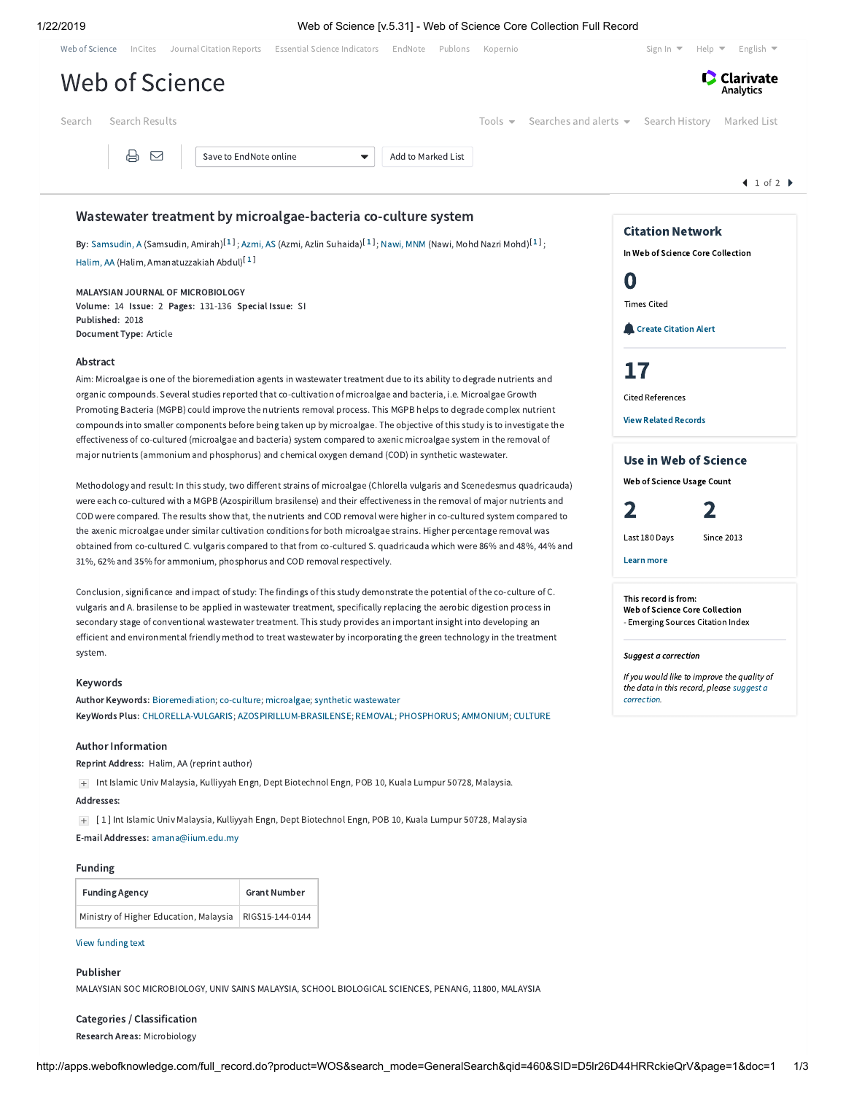|                                                                                                                                                                                                                                                 |                        | Web of Science [v.5.31] - Web of Science Core Collection Full Record<br>Web of Science InCites Journal Citation Reports Essential Science Indicators EndNote Publons Kopernio                                                            |                                              | Sign In $\blacktriangledown$<br>Help $\blacktriangledown$<br>English $\blacktriangledown$ |
|-------------------------------------------------------------------------------------------------------------------------------------------------------------------------------------------------------------------------------------------------|------------------------|------------------------------------------------------------------------------------------------------------------------------------------------------------------------------------------------------------------------------------------|----------------------------------------------|-------------------------------------------------------------------------------------------|
| Web of Science                                                                                                                                                                                                                                  |                        |                                                                                                                                                                                                                                          |                                              | Clarivate<br>Analytics                                                                    |
| Search Results<br>Search                                                                                                                                                                                                                        |                        | Tools $\blacktriangleright$                                                                                                                                                                                                              | Searches and alerts $\bullet$ Search History | Marked List                                                                               |
| 骨                                                                                                                                                                                                                                               | Save to EndNote online | Add to Marked List<br>▼                                                                                                                                                                                                                  |                                              |                                                                                           |
|                                                                                                                                                                                                                                                 |                        |                                                                                                                                                                                                                                          |                                              | 1 of 2                                                                                    |
| Wastewater treatment by microalgae-bacteria co-culture system                                                                                                                                                                                   |                        |                                                                                                                                                                                                                                          |                                              |                                                                                           |
|                                                                                                                                                                                                                                                 |                        | By: Samsudin, A (Samsudin, Amirah) <sup>[1]</sup> ; Azmi, AS (Azmi, Azlin Suhaida) <sup>[1]</sup> ; Nawi, MNM (Nawi, Mohd Nazri Mohd) <sup>[1]</sup> ;                                                                                   |                                              | <b>Citation Network</b>                                                                   |
| Halim, AA (Halim, Amanatuzzakiah Abdul) <sup>[1]</sup>                                                                                                                                                                                          |                        |                                                                                                                                                                                                                                          |                                              | In Web of Science Core Collection                                                         |
| MALAYSIAN JOURNAL OF MICROBIOLOGY                                                                                                                                                                                                               |                        |                                                                                                                                                                                                                                          |                                              | O                                                                                         |
| Volume: 14 Issue: 2 Pages: 131-136 Special Issue: SI                                                                                                                                                                                            |                        |                                                                                                                                                                                                                                          |                                              | <b>Times Cited</b>                                                                        |
| Published: 2018<br>Document Type: Article                                                                                                                                                                                                       |                        |                                                                                                                                                                                                                                          |                                              | <b>Create Citation Alert</b>                                                              |
| Abstract                                                                                                                                                                                                                                        |                        |                                                                                                                                                                                                                                          |                                              |                                                                                           |
|                                                                                                                                                                                                                                                 |                        | Aim: Microalgae is one of the bioremediation agents in wastewater treatment due to its ability to degrade nutrients and                                                                                                                  |                                              | 17                                                                                        |
|                                                                                                                                                                                                                                                 |                        | organic compounds. Several studies reported that co-cultivation of microalgae and bacteria, i.e. Microalgae Growth<br>Promoting Bacteria (MGPB) could improve the nutrients removal process. This MGPB helps to degrade complex nutrient |                                              | <b>Cited References</b>                                                                   |
| compounds into smaller components before being taken up by microalgae. The objective of this study is to investigate the                                                                                                                        |                        | <b>View Related Records</b>                                                                                                                                                                                                              |                                              |                                                                                           |
|                                                                                                                                                                                                                                                 |                        | effectiveness of co-cultured (microalgae and bacteria) system compared to axenic microalgae system in the removal of                                                                                                                     |                                              |                                                                                           |
|                                                                                                                                                                                                                                                 |                        | major nutrients (ammonium and phosphorus) and chemical oxygen demand (COD) in synthetic wastewater.                                                                                                                                      |                                              | Use in Web of Science                                                                     |
| Methodology and result: In this study, two different strains of microalgae (Chlorella vulgaris and Scenedesmus quadricauda)                                                                                                                     |                        |                                                                                                                                                                                                                                          |                                              | Web of Science Usage Count                                                                |
| were each co-cultured with a MGPB (Azospirillum brasilense) and their effectiveness in the removal of major nutrients and                                                                                                                       |                        | 2<br>2                                                                                                                                                                                                                                   |                                              |                                                                                           |
| COD were compared. The results show that, the nutrients and COD removal were higher in co-cultured system compared to                                                                                                                           |                        |                                                                                                                                                                                                                                          |                                              |                                                                                           |
| the axenic microalgae under similar cultivation conditions for both microalgae strains. Higher percentage removal was<br>obtained from co-cultured C. vulgaris compared to that from co-cultured S. quadricauda which were 86% and 48%, 44% and |                        |                                                                                                                                                                                                                                          |                                              | Last 180 Days<br><b>Since 2013</b>                                                        |
| 31%, 62% and 35% for ammonium, phosphorus and COD removal respectively.                                                                                                                                                                         |                        |                                                                                                                                                                                                                                          |                                              | Learn more                                                                                |
|                                                                                                                                                                                                                                                 |                        | Conclusion, significance and impact of study: The findings of this study demonstrate the potential of the co-culture of C.                                                                                                               |                                              |                                                                                           |
| vulgaris and A. brasilense to be applied in wastewater treatment, specifically replacing the aerobic digestion process in                                                                                                                       |                        | This record is from:<br>Web of Science Core Collection                                                                                                                                                                                   |                                              |                                                                                           |
| secondary stage of conventional wastewater treatment. This study provides an important insight into developing an<br>efficient and environmental friendly method to treat wastewater by incorporating the green technology in the treatment     |                        |                                                                                                                                                                                                                                          |                                              | - Emerging Sources Citation Index                                                         |
| system.                                                                                                                                                                                                                                         |                        |                                                                                                                                                                                                                                          |                                              | Suggest a correction                                                                      |
|                                                                                                                                                                                                                                                 |                        |                                                                                                                                                                                                                                          |                                              | If you would like to improve the quality of                                               |
| Keywords<br>Author Keywords: Bioremediation; co-culture; microalgae; synthetic wastewater                                                                                                                                                       |                        |                                                                                                                                                                                                                                          |                                              | the data in this record, please suggest a<br>correction.                                  |
|                                                                                                                                                                                                                                                 |                        | KeyWords Plus: CHLORELLA-VULGARIS; AZOSPIRILLUM-BRASILENSE; REMOVAL; PHOSPHORUS; AMMONIUM; CULTURE                                                                                                                                       |                                              |                                                                                           |
| <b>Author Information</b>                                                                                                                                                                                                                       |                        |                                                                                                                                                                                                                                          |                                              |                                                                                           |
| Reprint Address: Halim, AA (reprint author)                                                                                                                                                                                                     |                        |                                                                                                                                                                                                                                          |                                              |                                                                                           |
|                                                                                                                                                                                                                                                 |                        | + Int Islamic Univ Malaysia, Kulliyyah Engn, Dept Biotechnol Engn, POB 10, Kuala Lumpur 50728, Malaysia.                                                                                                                                 |                                              |                                                                                           |
| Addresses:                                                                                                                                                                                                                                      |                        |                                                                                                                                                                                                                                          |                                              |                                                                                           |
| $+$                                                                                                                                                                                                                                             |                        | [1] Int Islamic Univ Malaysia, Kulliyyah Engn, Dept Biotechnol Engn, POB 10, Kuala Lumpur 50728, Malaysia                                                                                                                                |                                              |                                                                                           |
| E-mail Addresses: amana@iium.edu.my                                                                                                                                                                                                             |                        |                                                                                                                                                                                                                                          |                                              |                                                                                           |
|                                                                                                                                                                                                                                                 |                        |                                                                                                                                                                                                                                          |                                              |                                                                                           |
| <b>Funding</b>                                                                                                                                                                                                                                  |                        |                                                                                                                                                                                                                                          |                                              |                                                                                           |
| <b>Funding Agency</b>                                                                                                                                                                                                                           | <b>Grant Number</b>    |                                                                                                                                                                                                                                          |                                              |                                                                                           |

## View [funding](javascript:hide_show() text

Publisher MALAYSIAN SOC MICROBIOLOGY, UNIV SAINS MALAYSIA, SCHOOL BIOLOGICAL SCIENCES, PENANG, 11800, MALAYSIA

Categories / Classification Research Areas: Microbiology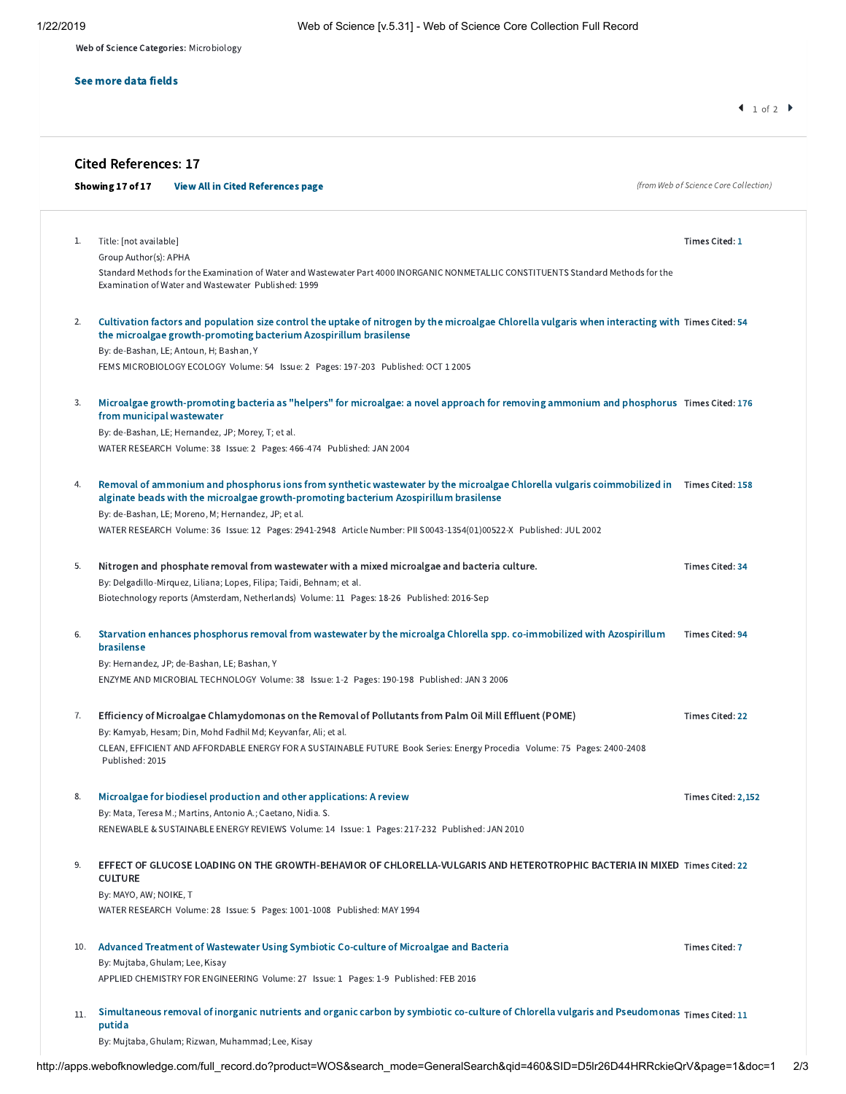Web of Science Categories: Microbiology

### See more data fields

# Cited References: 17

|    | Showing 17 of 17 |                                                 | <b>View All in Cited References page</b>                                                                                                                                                                                                                            | (from Web of Science Core Collection) |
|----|------------------|-------------------------------------------------|---------------------------------------------------------------------------------------------------------------------------------------------------------------------------------------------------------------------------------------------------------------------|---------------------------------------|
| 1. |                  | Title: [not available]<br>Group Author(s): APHA | Standard Methods for the Examination of Water and Wastewater Part 4000 INORGANIC NONMETALLIC CONSTITUENTS Standard Methods for the                                                                                                                                  | Times Cited: 1                        |
| 2. |                  |                                                 | Examination of Water and Wastewater Published: 1999<br>Cultivation factors and population size control the uptake of nitrogen by the microalgae Chlorella vulgaris when interacting with Times Cited: 54                                                            |                                       |
|    |                  |                                                 | the microalgae growth-promoting bacterium Azospirillum brasilense<br>By: de-Bashan, LE; Antoun, H; Bashan, Y<br>FEMS MICROBIOLOGY ECOLOGY Volume: 54 Issue: 2 Pages: 197-203 Published: OCT 1 2005                                                                  |                                       |
| 3. |                  | from municipal wastewater                       | Microalgae growth-promoting bacteria as "helpers" for microalgae: a novel approach for removing ammonium and phosphorus Times Cited: 176<br>By: de-Bashan, LE; Hernandez, JP; Morey, T; et al.                                                                      |                                       |
|    |                  |                                                 | WATER RESEARCH Volume: 38 Issue: 2 Pages: 466-474 Published: JAN 2004                                                                                                                                                                                               |                                       |
| 4. |                  |                                                 | Removal of ammonium and phosphorus ions from synthetic wastewater by the microalgae Chlorella vulgaris coimmobilized in Times Cited: 158<br>alginate beads with the microalgae growth-promoting bacterium Azospirillum brasilense                                   |                                       |
|    |                  |                                                 | By: de-Bashan, LE; Moreno, M; Hernandez, JP; et al.<br>WATER RESEARCH Volume: 36 Issue: 12 Pages: 2941-2948 Article Number: PII S0043-1354(01)00522-X Published: JUL 2002                                                                                           |                                       |
| 5. |                  |                                                 | Nitrogen and phosphate removal from wastewater with a mixed microalgae and bacteria culture.<br>By: Delgadillo-Mirquez, Liliana; Lopes, Filipa; Taidi, Behnam; et al.<br>Biotechnology reports (Amsterdam, Netherlands) Volume: 11 Pages: 18-26 Published: 2016-Sep | Times Cited: 34                       |
| 6. |                  | brasilense                                      | Starvation enhances phosphorus removal from wastewater by the microalga Chlorella spp. co-immobilized with Azospirillum                                                                                                                                             | Times Cited: 94                       |
|    |                  |                                                 | By: Hernandez, JP; de-Bashan, LE; Bashan, Y<br>ENZYME AND MICROBIAL TECHNOLOGY Volume: 38 Issue: 1-2 Pages: 190-198 Published: JAN 3 2006                                                                                                                           |                                       |
| 7. |                  |                                                 | Efficiency of Microalgae Chlamydomonas on the Removal of Pollutants from Palm Oil Mill Effluent (POME)                                                                                                                                                              | Times Cited: 22                       |
|    |                  | Published: 2015                                 | By: Kamyab, Hesam; Din, Mohd Fadhil Md; Keyvanfar, Ali; et al.<br>CLEAN, EFFICIENT AND AFFORDABLE ENERGY FOR A SUSTAINABLE FUTURE Book Series: Energy Procedia Volume: 75 Pages: 2400-2408                                                                          |                                       |
| ୪. |                  |                                                 | Microalgae for biodiesel production and other applications: A review<br>By: Mata, Teresa M.; Martins, Antonio A.; Caetano, Nidia. S.<br>RENEWABLE & SUSTAINABLE ENERGY REVIEWS Volume: 14 Issue: 1 Pages: 217-232 Published: JAN 2010                               | Times Cited: 2,152                    |
| 9. | <b>CULTURE</b>   |                                                 | EFFECT OF GLUCOSE LOADING ON THE GROWTH-BEHAVIOR OF CHLORELLA-VULGARIS AND HETEROTROPHIC BACTERIA IN MIXED Times Cited: 22                                                                                                                                          |                                       |
|    |                  | By: MAYO, AW; NOIKE, T                          | WATER RESEARCH Volume: 28 Issue: 5 Pages: 1001-1008 Published: MAY 1994                                                                                                                                                                                             |                                       |
|    | 10.              | By: Mujtaba, Ghulam; Lee, Kisay                 | Advanced Treatment of Wastewater Using Symbiotic Co-culture of Microalgae and Bacteria                                                                                                                                                                              | <b>Times Cited: 7</b>                 |
|    |                  |                                                 | APPLIED CHEMISTRY FOR ENGINEERING Volume: 27 Issue: 1 Pages: 1-9 Published: FEB 2016                                                                                                                                                                                |                                       |
|    | 11.<br>putida    |                                                 | Simultaneous removal of inorganic nutrients and organic carbon by symbiotic co-culture of Chlorella vulgaris and Pseudomonas Times Cited: 11                                                                                                                        |                                       |
|    |                  |                                                 | By: Mujtaba, Ghulam; Rizwan, Muhammad; Lee, Kisay                                                                                                                                                                                                                   |                                       |